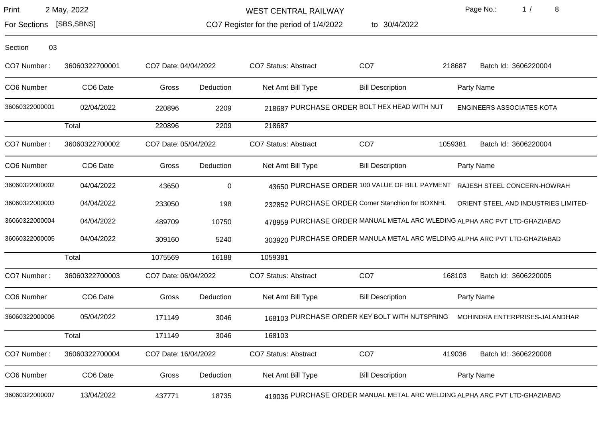| Print<br>2 May, 2022 |  |
|----------------------|--|
|----------------------|--|

For Sections [SBS,SBNS]

WEST CENTRAL RAILWAY

CO7 Register for the period of 1/4/2022 to 30/4/2022 Page No.: 1 / 8

| Section<br>03  |                      |                      |                |                      |                                                   |         |                                                                            |
|----------------|----------------------|----------------------|----------------|----------------------|---------------------------------------------------|---------|----------------------------------------------------------------------------|
| CO7 Number:    | 36060322700001       | CO7 Date: 04/04/2022 |                | CO7 Status: Abstract | CO <sub>7</sub>                                   | 218687  | Batch Id: 3606220004                                                       |
| CO6 Number     | CO6 Date             | Gross                | Deduction      | Net Amt Bill Type    | <b>Bill Description</b>                           |         | Party Name                                                                 |
| 36060322000001 | 02/04/2022           | 220896               | 2209           |                      | 218687 PURCHASE ORDER BOLT HEX HEAD WITH NUT      |         | ENGINEERS ASSOCIATES-KOTA                                                  |
|                | Total                | 220896               | 2209           | 218687               |                                                   |         |                                                                            |
| CO7 Number:    | 36060322700002       | CO7 Date: 05/04/2022 |                | CO7 Status: Abstract | CO <sub>7</sub>                                   | 1059381 | Batch Id: 3606220004                                                       |
| CO6 Number     | CO6 Date             | Gross                | Deduction      | Net Amt Bill Type    | <b>Bill Description</b>                           |         | Party Name                                                                 |
| 36060322000002 | 04/04/2022           | 43650                | $\overline{0}$ |                      |                                                   |         | 43650 PURCHASE ORDER 100 VALUE OF BILL PAYMENT RAJESH STEEL CONCERN-HOWRAH |
| 36060322000003 | 04/04/2022           | 233050               | 198            |                      | 232852 PURCHASE ORDER Corner Stanchion for BOXNHL |         | ORIENT STEEL AND INDUSTRIES LIMITED-                                       |
| 36060322000004 | 04/04/2022           | 489709               | 10750          |                      |                                                   |         | 478959 PURCHASE ORDER MANUAL METAL ARC WLEDING ALPHA ARC PVT LTD-GHAZIABAD |
| 36060322000005 | 04/04/2022           | 309160               | 5240           |                      |                                                   |         | 303920 PURCHASE ORDER MANULA METAL ARC WELDING ALPHA ARC PVT LTD-GHAZIABAD |
|                | Total                | 1075569              | 16188          | 1059381              |                                                   |         |                                                                            |
| CO7 Number:    | 36060322700003       | CO7 Date: 06/04/2022 |                | CO7 Status: Abstract | CO <sub>7</sub>                                   | 168103  | Batch Id: 3606220005                                                       |
| CO6 Number     | CO <sub>6</sub> Date | Gross                | Deduction      | Net Amt Bill Type    | <b>Bill Description</b>                           |         | Party Name                                                                 |
| 36060322000006 | 05/04/2022           | 171149               | 3046           |                      | 168103 PURCHASE ORDER KEY BOLT WITH NUTSPRING     |         | MOHINDRA ENTERPRISES-JALANDHAR                                             |
|                | Total                | 171149               | 3046           | 168103               |                                                   |         |                                                                            |
| CO7 Number:    | 36060322700004       | CO7 Date: 16/04/2022 |                | CO7 Status: Abstract | CO <sub>7</sub>                                   | 419036  | Batch Id: 3606220008                                                       |
| CO6 Number     | CO6 Date             | Gross                | Deduction      | Net Amt Bill Type    | <b>Bill Description</b>                           |         | Party Name                                                                 |
| 36060322000007 | 13/04/2022           | 437771               | 18735          |                      |                                                   |         | 419036 PURCHASE ORDER MANUAL METAL ARC WELDING ALPHA ARC PVT LTD-GHAZIABAD |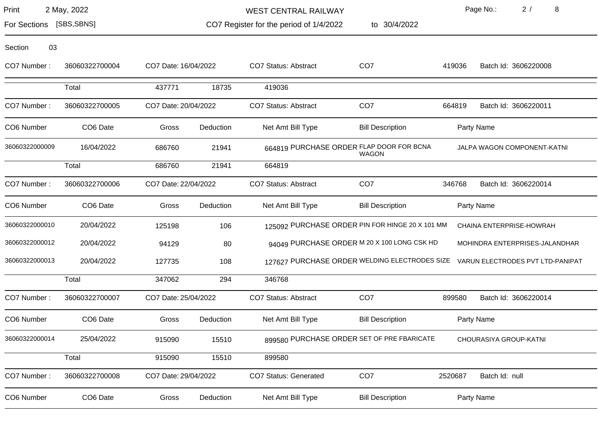WEST CENTRAL RAILWAY

to 30/4/2022

Page No.: 2 / 8

For Sections [SBS,SBNS]

CO7 Register for the period of 1/4/2022

| CO7 Number:    | 36060322700004 | CO7 Date: 16/04/2022 |           | <b>CO7 Status: Abstract</b>  | CO <sub>7</sub>                                          | 419036  | Batch Id: 3606220008                                                           |
|----------------|----------------|----------------------|-----------|------------------------------|----------------------------------------------------------|---------|--------------------------------------------------------------------------------|
|                | Total          | 437771               | 18735     | 419036                       |                                                          |         |                                                                                |
| CO7 Number:    | 36060322700005 | CO7 Date: 20/04/2022 |           | <b>CO7 Status: Abstract</b>  | CO <sub>7</sub>                                          | 664819  | Batch Id: 3606220011                                                           |
| CO6 Number     | CO6 Date       | Gross                | Deduction | Net Amt Bill Type            | <b>Bill Description</b>                                  |         | Party Name                                                                     |
| 36060322000009 | 16/04/2022     | 686760               | 21941     |                              | 664819 PURCHASE ORDER FLAP DOOR FOR BCNA<br><b>WAGON</b> |         | JALPA WAGON COMPONENT-KATNI                                                    |
|                | Total          | 686760               | 21941     | 664819                       |                                                          |         |                                                                                |
| CO7 Number:    | 36060322700006 | CO7 Date: 22/04/2022 |           | <b>CO7 Status: Abstract</b>  | CO <sub>7</sub>                                          | 346768  | Batch Id: 3606220014                                                           |
| CO6 Number     | CO6 Date       | Gross                | Deduction | Net Amt Bill Type            | <b>Bill Description</b>                                  |         | Party Name                                                                     |
| 36060322000010 | 20/04/2022     | 125198               | 106       |                              | 125092 PURCHASE ORDER PIN FOR HINGE 20 X 101 MM          |         | CHAINA ENTERPRISE-HOWRAH                                                       |
| 36060322000012 | 20/04/2022     | 94129                | 80        |                              | 94049 PURCHASE ORDER M 20 X 100 LONG CSK HD              |         | MOHINDRA ENTERPRISES-JALANDHAR                                                 |
| 36060322000013 | 20/04/2022     | 127735               | 108       |                              |                                                          |         | 127627 PURCHASE ORDER WELDING ELECTRODES SIZE VARUN ELECTRODES PVT LTD-PANIPAT |
|                | Total          | 347062               | 294       | 346768                       |                                                          |         |                                                                                |
| CO7 Number:    | 36060322700007 | CO7 Date: 25/04/2022 |           | <b>CO7 Status: Abstract</b>  | CO <sub>7</sub>                                          | 899580  | Batch Id: 3606220014                                                           |
| CO6 Number     | CO6 Date       | Gross                | Deduction | Net Amt Bill Type            | <b>Bill Description</b>                                  |         | Party Name                                                                     |
| 36060322000014 | 25/04/2022     | 915090               | 15510     |                              | 899580 PURCHASE ORDER SET OF PRE FBARICATE               |         | CHOURASIYA GROUP-KATNI                                                         |
|                | Total          | 915090               | 15510     | 899580                       |                                                          |         |                                                                                |
| CO7 Number:    | 36060322700008 | CO7 Date: 29/04/2022 |           | <b>CO7 Status: Generated</b> | CO <sub>7</sub>                                          | 2520687 | Batch Id: null                                                                 |
| CO6 Number     | CO6 Date       | Gross                | Deduction | Net Amt Bill Type            | <b>Bill Description</b>                                  |         | Party Name                                                                     |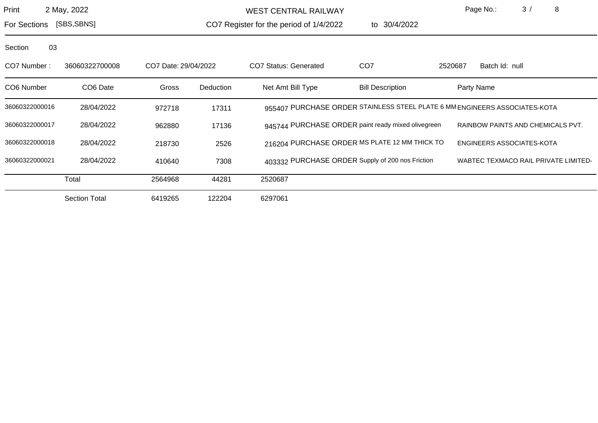WEST CENTRAL RAILWAY

to 30/4/2022

Page No.: 3 / 8

For Sections [SBS,SBNS]

CO7 Register for the period of 1/4/2022

| CO7 Number:    | 36060322700008       | CO7 Date: 29/04/2022 |           | CO7 Status: Generated | CO <sub>7</sub>                                                            | 2520687 | Batch Id: null                              |
|----------------|----------------------|----------------------|-----------|-----------------------|----------------------------------------------------------------------------|---------|---------------------------------------------|
| CO6 Number     | CO <sub>6</sub> Date | Gross                | Deduction | Net Amt Bill Type     | <b>Bill Description</b>                                                    |         | Party Name                                  |
| 36060322000016 | 28/04/2022           | 972718               | 17311     |                       | 955407 PURCHASE ORDER STAINLESS STEEL PLATE 6 MM ENGINEERS ASSOCIATES-KOTA |         |                                             |
| 36060322000017 | 28/04/2022           | 962880               | 17136     |                       | 945744 PURCHASE ORDER paint ready mixed olivegreen                         |         | RAINBOW PAINTS AND CHEMICALS PVT.           |
| 36060322000018 | 28/04/2022           | 218730               | 2526      |                       | 216204 PURCHASE ORDER MS PLATE 12 MM THICK TO                              |         | ENGINEERS ASSOCIATES-KOTA                   |
| 36060322000021 | 28/04/2022           | 410640               | 7308      |                       | 403332 PURCHASE ORDER Supply of 200 nos Friction                           |         | <b>WABTEC TEXMACO RAIL PRIVATE LIMITED-</b> |
|                | Total                | 2564968              | 44281     | 2520687               |                                                                            |         |                                             |
|                | <b>Section Total</b> | 6419265              | 122204    | 6297061               |                                                                            |         |                                             |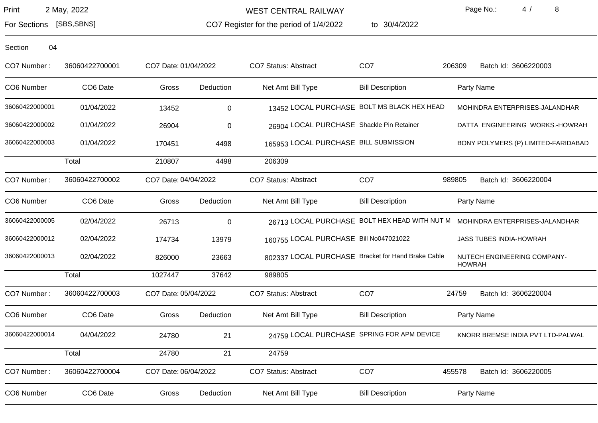WEST CENTRAL RAILWAY

CO7 Register for the period of 1/4/2022

to 30/4/2022

Page No.: 4 / 8

For Sections [SBS,SBNS]

| CO7 Number:    | 36060422700001 | CO7 Date: 01/04/2022 |                 | CO7 Status: Abstract                               | CO <sub>7</sub>         | 206309        | Batch Id: 3606220003                |
|----------------|----------------|----------------------|-----------------|----------------------------------------------------|-------------------------|---------------|-------------------------------------|
| CO6 Number     | CO6 Date       | Gross                | Deduction       | Net Amt Bill Type                                  | <b>Bill Description</b> |               | Party Name                          |
| 36060422000001 | 01/04/2022     | 13452                | 0               | 13452 LOCAL PURCHASE BOLT MS BLACK HEX HEAD        |                         |               | MOHINDRA ENTERPRISES-JALANDHAR      |
| 36060422000002 | 01/04/2022     | 26904                | $\pmb{0}$       | 26904 LOCAL PURCHASE Shackle Pin Retainer          |                         |               | DATTA ENGINEERING WORKS.-HOWRAH     |
| 36060422000003 | 01/04/2022     | 170451               | 4498            | 165953 LOCAL PURCHASE BILL SUBMISSION              |                         |               | BONY POLYMERS (P) LIMITED-FARIDABAD |
|                | Total          | 210807               | 4498            | 206309                                             |                         |               |                                     |
| CO7 Number:    | 36060422700002 | CO7 Date: 04/04/2022 |                 | CO7 Status: Abstract                               | CO <sub>7</sub>         | 989805        | Batch Id: 3606220004                |
| CO6 Number     | CO6 Date       | Gross                | Deduction       | Net Amt Bill Type                                  | <b>Bill Description</b> |               | Party Name                          |
| 36060422000005 | 02/04/2022     | 26713                | 0               | 26713 LOCAL PURCHASE BOLT HEX HEAD WITH NUT M      |                         |               | MOHINDRA ENTERPRISES-JALANDHAR      |
| 36060422000012 | 02/04/2022     | 174734               | 13979           | 160755 LOCAL PURCHASE Bill No047021022             |                         |               | <b>JASS TUBES INDIA-HOWRAH</b>      |
| 36060422000013 | 02/04/2022     | 826000               | 23663           | 802337 LOCAL PURCHASE Bracket for Hand Brake Cable |                         | <b>HOWRAH</b> | NUTECH ENGINEERING COMPANY-         |
|                | Total          | 1027447              | 37642           | 989805                                             |                         |               |                                     |
| CO7 Number:    | 36060422700003 | CO7 Date: 05/04/2022 |                 | CO7 Status: Abstract                               | CO <sub>7</sub>         | 24759         | Batch Id: 3606220004                |
| CO6 Number     | CO6 Date       | Gross                | Deduction       | Net Amt Bill Type                                  | <b>Bill Description</b> |               | Party Name                          |
| 36060422000014 | 04/04/2022     | 24780                | 21              | 24759 LOCAL PURCHASE SPRING FOR APM DEVICE         |                         |               | KNORR BREMSE INDIA PVT LTD-PALWAL   |
|                | Total          | 24780                | $\overline{21}$ | 24759                                              |                         |               |                                     |
| CO7 Number:    | 36060422700004 | CO7 Date: 06/04/2022 |                 | CO7 Status: Abstract                               | CO <sub>7</sub>         | 455578        | Batch Id: 3606220005                |
| CO6 Number     | CO6 Date       | Gross                | Deduction       | Net Amt Bill Type                                  | <b>Bill Description</b> |               | Party Name                          |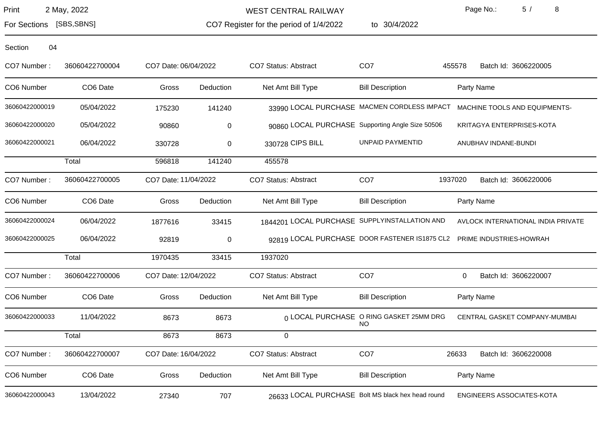WEST CENTRAL RAILWAY

CO7 Register for the period of 1/4/2022

to 30/4/2022

Page No.: 5 / 8

For Sections [SBS,SBNS]

| CO7 Number:    | 36060422700004 | CO7 Date: 06/04/2022 |           | CO7 Status: Abstract                              | CO <sub>7</sub>                               | Batch Id: 3606220005<br>455578     |
|----------------|----------------|----------------------|-----------|---------------------------------------------------|-----------------------------------------------|------------------------------------|
| CO6 Number     | CO6 Date       | Gross                | Deduction | Net Amt Bill Type                                 | <b>Bill Description</b>                       | Party Name                         |
| 36060422000019 | 05/04/2022     | 175230               | 141240    |                                                   | 33990 LOCAL PURCHASE MACMEN CORDLESS IMPACT   | MACHINE TOOLS AND EQUIPMENTS-      |
| 36060422000020 | 05/04/2022     | 90860                | 0         | 90860 LOCAL PURCHASE Supporting Angle Size 50506  |                                               | KRITAGYA ENTERPRISES-KOTA          |
| 36060422000021 | 06/04/2022     | 330728               | 0         | 330728 CIPS BILL                                  | <b>UNPAID PAYMENTID</b>                       | ANUBHAV INDANE-BUNDI               |
|                | Total          | 596818               | 141240    | 455578                                            |                                               |                                    |
| CO7 Number:    | 36060422700005 | CO7 Date: 11/04/2022 |           | <b>CO7 Status: Abstract</b>                       | CO <sub>7</sub>                               | 1937020<br>Batch Id: 3606220006    |
| CO6 Number     | CO6 Date       | Gross                | Deduction | Net Amt Bill Type                                 | <b>Bill Description</b>                       | Party Name                         |
| 36060422000024 | 06/04/2022     | 1877616              | 33415     | 1844201 LOCAL PURCHASE SUPPLYINSTALLATION AND     |                                               | AVLOCK INTERNATIONAL INDIA PRIVATE |
| 36060422000025 | 06/04/2022     | 92819                | 0         |                                                   | 92819 LOCAL PURCHASE DOOR FASTENER IS1875 CL2 | PRIME INDUSTRIES-HOWRAH            |
|                | Total          | 1970435              | 33415     | 1937020                                           |                                               |                                    |
| CO7 Number:    | 36060422700006 | CO7 Date: 12/04/2022 |           | <b>CO7 Status: Abstract</b>                       | CO <sub>7</sub>                               | Batch Id: 3606220007<br>0          |
| CO6 Number     | CO6 Date       | Gross                | Deduction | Net Amt Bill Type                                 | <b>Bill Description</b>                       | Party Name                         |
| 36060422000033 | 11/04/2022     | 8673                 | 8673      |                                                   | 0 LOCAL PURCHASE O RING GASKET 25MM DRG<br>NO | CENTRAL GASKET COMPANY-MUMBAI      |
|                | Total          | 8673                 | 8673      | 0                                                 |                                               |                                    |
| CO7 Number:    | 36060422700007 | CO7 Date: 16/04/2022 |           | CO7 Status: Abstract                              | CO <sub>7</sub>                               | 26633<br>Batch Id: 3606220008      |
| CO6 Number     | CO6 Date       | Gross                | Deduction | Net Amt Bill Type                                 | <b>Bill Description</b>                       | Party Name                         |
| 36060422000043 | 13/04/2022     | 27340                | 707       | 26633 LOCAL PURCHASE Bolt MS black hex head round |                                               | ENGINEERS ASSOCIATES-KOTA          |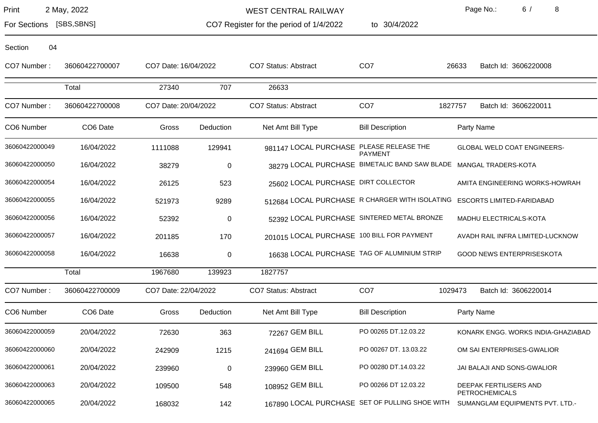WEST CENTRAL RAILWAY

CO7 Register for the period of 1/4/2022

to 30/4/2022

Page No.: 6 / 8

For Sections [SBS,SBNS]

| CO7 Number:    | 36060422700007 | CO7 Date: 16/04/2022 |           | <b>CO7 Status: Abstract</b>                                       | CO <sub>7</sub>         | 26633   | Batch Id: 3606220008                            |
|----------------|----------------|----------------------|-----------|-------------------------------------------------------------------|-------------------------|---------|-------------------------------------------------|
|                | Total          | 27340                | 707       | 26633                                                             |                         |         |                                                 |
| CO7 Number:    | 36060422700008 | CO7 Date: 20/04/2022 |           | <b>CO7 Status: Abstract</b>                                       | CO <sub>7</sub>         | 1827757 | Batch Id: 3606220011                            |
| CO6 Number     | CO6 Date       | Gross                | Deduction | Net Amt Bill Type                                                 | <b>Bill Description</b> |         | Party Name                                      |
| 36060422000049 | 16/04/2022     | 1111088              | 129941    | 981147 LOCAL PURCHASE PLEASE RELEASE THE                          | <b>PAYMENT</b>          |         | GLOBAL WELD COAT ENGINEERS-                     |
| 36060422000050 | 16/04/2022     | 38279                | $\pmb{0}$ | 38279 LOCAL PURCHASE BIMETALIC BAND SAW BLADE MANGAL TRADERS-KOTA |                         |         |                                                 |
| 36060422000054 | 16/04/2022     | 26125                | 523       | 25602 LOCAL PURCHASE DIRT COLLECTOR                               |                         |         | AMITA ENGINEERING WORKS-HOWRAH                  |
| 36060422000055 | 16/04/2022     | 521973               | 9289      | 512684 LOCAL PURCHASE R CHARGER WITH ISOLATING                    |                         |         | <b>ESCORTS LIMITED-FARIDABAD</b>                |
| 36060422000056 | 16/04/2022     | 52392                | $\pmb{0}$ | 52392 LOCAL PURCHASE SINTERED METAL BRONZE                        |                         |         | MADHU ELECTRICALS-KOTA                          |
| 36060422000057 | 16/04/2022     | 201185               | 170       | 201015 LOCAL PURCHASE 100 BILL FOR PAYMENT                        |                         |         | AVADH RAIL INFRA LIMITED-LUCKNOW                |
| 36060422000058 | 16/04/2022     | 16638                | $\pmb{0}$ | 16638 LOCAL PURCHASE TAG OF ALUMINIUM STRIP                       |                         |         | <b>GOOD NEWS ENTERPRISESKOTA</b>                |
|                | Total          | 1967680              | 139923    | 1827757                                                           |                         |         |                                                 |
| CO7 Number:    | 36060422700009 | CO7 Date: 22/04/2022 |           | <b>CO7 Status: Abstract</b>                                       | CO <sub>7</sub>         | 1029473 | Batch Id: 3606220014                            |
| CO6 Number     | CO6 Date       | Gross                | Deduction | Net Amt Bill Type                                                 | <b>Bill Description</b> |         | Party Name                                      |
| 36060422000059 | 20/04/2022     | 72630                | 363       | 72267 GEM BILL                                                    | PO 00265 DT.12.03.22    |         | KONARK ENGG. WORKS INDIA-GHAZIABAD              |
| 36060422000060 | 20/04/2022     | 242909               | 1215      | 241694 GEM BILL                                                   | PO 00267 DT. 13.03.22   |         | OM SAI ENTERPRISES-GWALIOR                      |
| 36060422000061 | 20/04/2022     | 239960               | $\pmb{0}$ | 239960 GEM BILL                                                   | PO 00280 DT.14.03.22    |         | JAI BALAJI AND SONS-GWALIOR                     |
| 36060422000063 | 20/04/2022     | 109500               | 548       | 108952 GEM BILL                                                   | PO 00266 DT 12.03.22    |         | DEEPAK FERTILISERS AND<br><b>PETROCHEMICALS</b> |
| 36060422000065 | 20/04/2022     | 168032               | 142       | 167890 LOCAL PURCHASE SET OF PULLING SHOE WITH                    |                         |         | SUMANGLAM EQUIPMENTS PVT. LTD.-                 |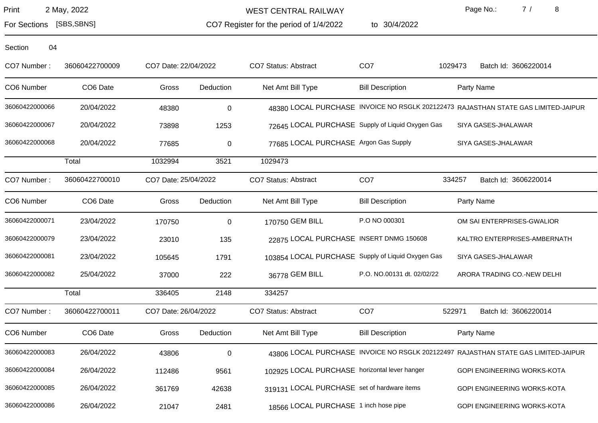WEST CENTRAL RAILWAY

CO7 Register for the period of 1/4/2022

to 30/4/2022

Page No.: 7 / 8

For Sections [SBS,SBNS]

| CO7 Number:    | 36060422700009       | CO7 Date: 22/04/2022 |             | CO7 Status: Abstract                              | CO <sub>7</sub>            | 1029473 | Batch Id: 3606220014                                                               |
|----------------|----------------------|----------------------|-------------|---------------------------------------------------|----------------------------|---------|------------------------------------------------------------------------------------|
| CO6 Number     | CO6 Date             | Gross                | Deduction   | Net Amt Bill Type                                 | <b>Bill Description</b>    |         | Party Name                                                                         |
| 36060422000066 | 20/04/2022           | 48380                | $\pmb{0}$   |                                                   |                            |         | 48380 LOCAL PURCHASE INVOICE NO RSGLK 202122473 RAJASTHAN STATE GAS LIMITED-JAIPUR |
| 36060422000067 | 20/04/2022           | 73898                | 1253        | 72645 LOCAL PURCHASE Supply of Liquid Oxygen Gas  |                            |         | SIYA GASES-JHALAWAR                                                                |
| 36060422000068 | 20/04/2022           | 77685                | $\pmb{0}$   | 77685 LOCAL PURCHASE Argon Gas Supply             |                            |         | SIYA GASES-JHALAWAR                                                                |
|                | Total                | 1032994              | 3521        | 1029473                                           |                            |         |                                                                                    |
| CO7 Number:    | 36060422700010       | CO7 Date: 25/04/2022 |             | <b>CO7 Status: Abstract</b>                       | CO <sub>7</sub>            | 334257  | Batch Id: 3606220014                                                               |
| CO6 Number     | CO <sub>6</sub> Date | Gross                | Deduction   | Net Amt Bill Type                                 | <b>Bill Description</b>    |         | Party Name                                                                         |
| 36060422000071 | 23/04/2022           | 170750               | $\mathbf 0$ | 170750 GEM BILL                                   | P.O NO 000301              |         | OM SAI ENTERPRISES-GWALIOR                                                         |
| 36060422000079 | 23/04/2022           | 23010                | 135         | 22875 LOCAL PURCHASE INSERT DNMG 150608           |                            |         | KALTRO ENTERPRISES-AMBERNATH                                                       |
| 36060422000081 | 23/04/2022           | 105645               | 1791        | 103854 LOCAL PURCHASE Supply of Liquid Oxygen Gas |                            |         | SIYA GASES-JHALAWAR                                                                |
| 36060422000082 | 25/04/2022           | 37000                | 222         | 36778 GEM BILL                                    | P.O. NO.00131 dt. 02/02/22 |         | ARORA TRADING CO.-NEW DELHI                                                        |
|                | Total                | 336405               | 2148        | 334257                                            |                            |         |                                                                                    |
| CO7 Number:    | 36060422700011       | CO7 Date: 26/04/2022 |             | CO7 Status: Abstract                              | CO <sub>7</sub>            | 522971  | Batch Id: 3606220014                                                               |
| CO6 Number     | CO6 Date             | Gross                | Deduction   | Net Amt Bill Type                                 | <b>Bill Description</b>    |         | Party Name                                                                         |
| 36060422000083 | 26/04/2022           | 43806                | $\pmb{0}$   |                                                   |                            |         | 43806 LOCAL PURCHASE INVOICE NO RSGLK 202122497 RAJASTHAN STATE GAS LIMITED-JAIPUR |
| 36060422000084 | 26/04/2022           | 112486               | 9561        | 102925 LOCAL PURCHASE horizontal lever hanger     |                            |         | GOPI ENGINEERING WORKS-KOTA                                                        |
| 36060422000085 | 26/04/2022           | 361769               | 42638       | 319131 LOCAL PURCHASE set of hardware items       |                            |         | <b>GOPI ENGINEERING WORKS-KOTA</b>                                                 |
| 36060422000086 | 26/04/2022           | 21047                | 2481        | 18566 LOCAL PURCHASE 1 inch hose pipe             |                            |         | <b>GOPI ENGINEERING WORKS-KOTA</b>                                                 |